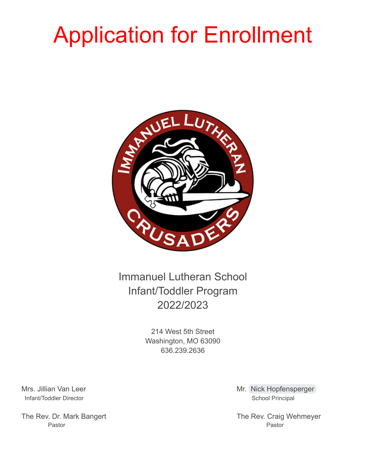## Application for Enrollment



Immanuel Lutheran School Infant/Toddler Program 2022/2023

> 214 West 5th Street Washington, MO 63090 636.239.2636

Infant/Toddler Director School Principal

The Rev. Dr. Mark Bangert **The Rev. Craig Wehmeyer** The Rev. Craig Wehmeyer Pastor Pastor

Mrs. Jillian Van Leer Mrs. 1999 - Mr. [Nick Hopfensperger](mailto:Nick.Hopfensperger@imlutheran.org)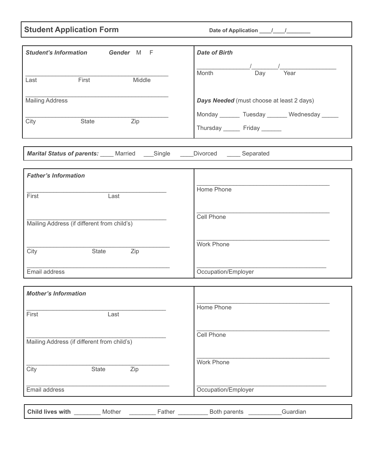## **Student Application Form Date of Application \_\_\_\_\_\_\_\_\_\_\_\_\_\_\_\_\_\_\_\_\_\_\_\_\_\_\_\_\_\_\_\_\_**

| <b>Student's Information</b><br>Gender M F                                          | <b>Date of Birth</b>                             |
|-------------------------------------------------------------------------------------|--------------------------------------------------|
|                                                                                     | $\overline{a}$                                   |
| Middle<br>First<br>Last                                                             | Month<br>Day<br>Year                             |
|                                                                                     |                                                  |
| <b>Mailing Address</b>                                                              | Days Needed (must choose at least 2 days)        |
|                                                                                     | Monday ________ Tuesday _______ Wednesday ______ |
| $\overline{Zip}$<br>State<br>City                                                   | Thursday Friday                                  |
|                                                                                     |                                                  |
|                                                                                     |                                                  |
| <b>Marital Status of parents:</b> Married ____Single _____Divorced ______ Separated |                                                  |
| <b>Father's Information</b>                                                         |                                                  |
|                                                                                     |                                                  |
| First<br>Last                                                                       | Home Phone                                       |
|                                                                                     |                                                  |
| Mailing Address (if different from child's)                                         | <b>Cell Phone</b>                                |
|                                                                                     |                                                  |
|                                                                                     | <b>Work Phone</b>                                |
| $\overline{Zip}$<br>State<br>City                                                   |                                                  |
| Email address                                                                       | Occupation/Employer                              |
|                                                                                     |                                                  |
| <b>Mother's Information</b>                                                         |                                                  |
|                                                                                     | Home Phone                                       |
| First<br>Last                                                                       |                                                  |
|                                                                                     |                                                  |
| Mailing Address (if different from child's)                                         | Cell Phone                                       |
|                                                                                     |                                                  |
|                                                                                     | <b>Work Phone</b>                                |
| Zip<br>City<br>State                                                                |                                                  |
| Email address                                                                       | Occupation/Employer                              |
|                                                                                     |                                                  |
| Child lives with<br>Mother                                                          | Guardian<br>Both parents                         |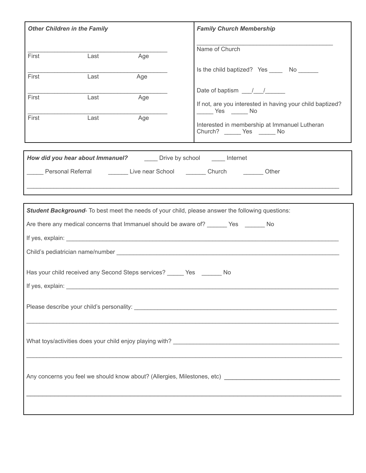|                                                                                                                                                                                                                                | <b>Other Children in the Family</b> |     | <b>Family Church Membership</b>                                                   |
|--------------------------------------------------------------------------------------------------------------------------------------------------------------------------------------------------------------------------------|-------------------------------------|-----|-----------------------------------------------------------------------------------|
| First                                                                                                                                                                                                                          | Last                                |     | Name of Church                                                                    |
|                                                                                                                                                                                                                                |                                     | Age | Is the child baptized? Yes _______ No _______                                     |
| First                                                                                                                                                                                                                          | Last                                | Age |                                                                                   |
| First                                                                                                                                                                                                                          | Last                                | Age | Date of baptism $\frac{1}{\sqrt{2}}$                                              |
|                                                                                                                                                                                                                                |                                     |     | If not, are you interested in having your child baptized?<br>______ Yes ______ No |
| First                                                                                                                                                                                                                          | Last                                | Age | Interested in membership at Immanuel Lutheran<br>Church? ______ Yes ______ No     |
| <b>How did you hear about Immanuel?</b> _________ Drive by school _______ Internet                                                                                                                                             |                                     |     |                                                                                   |
|                                                                                                                                                                                                                                |                                     |     |                                                                                   |
|                                                                                                                                                                                                                                |                                     |     |                                                                                   |
|                                                                                                                                                                                                                                |                                     |     |                                                                                   |
| Student Background- To best meet the needs of your child, please answer the following questions:                                                                                                                               |                                     |     |                                                                                   |
| Are there any medical concerns that Immanuel should be aware of? _______ Yes _______ No                                                                                                                                        |                                     |     |                                                                                   |
| If yes, explain: The same state of the state of the state of the state of the state of the state of the state of the state of the state of the state of the state of the state of the state of the state of the state of the s |                                     |     |                                                                                   |
| Child's pediatrician name/number experience and a series of the contract of the contract of the contract of the contract of the contract of the contract of the contract of the contract of the contract of the contract of th |                                     |     |                                                                                   |
| Has your child received any Second Steps services? ______ Yes _______ No                                                                                                                                                       |                                     |     |                                                                                   |
| If yes, explain:                                                                                                                                                                                                               |                                     |     |                                                                                   |
|                                                                                                                                                                                                                                |                                     |     |                                                                                   |
|                                                                                                                                                                                                                                |                                     |     |                                                                                   |
|                                                                                                                                                                                                                                |                                     |     |                                                                                   |
|                                                                                                                                                                                                                                |                                     |     |                                                                                   |
|                                                                                                                                                                                                                                |                                     |     |                                                                                   |
|                                                                                                                                                                                                                                |                                     |     |                                                                                   |
|                                                                                                                                                                                                                                |                                     |     |                                                                                   |
|                                                                                                                                                                                                                                |                                     |     |                                                                                   |
|                                                                                                                                                                                                                                |                                     |     |                                                                                   |